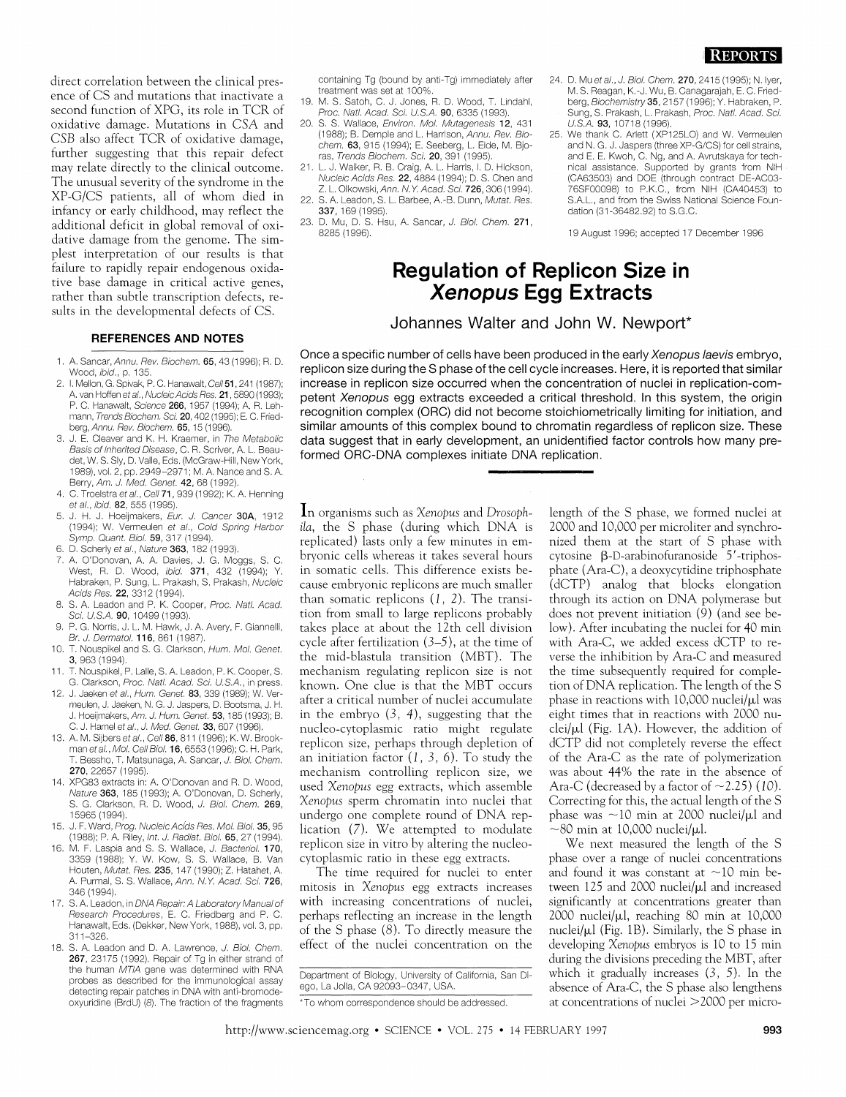direct correlation between the clinical presence of CS and mutations that inactivate a second function of XPG, its role in TCR of oxidative damage. Mutations in CSA and CSB also affect TCR of oxidative damage, further suggesting that this repair defect may relate directly to the clinical outcome. The unusual severity of the syndrome in the XP-G/CS patients, all of whom died in infancy or early childhood, may reflect the additional deficit in global removal of oxidative damage from the genome. The simplest interpretation of our results is that failure to rapidly repair endogenous oxidative base damage in critical active genes, rather than subtle transcription defects, results in the developmental defects of CS.

## **REFERENCES AND NOTES**

- 1. A. Sancar, Annu. Rev. Biochem. 65, 43 (1996); R. D. Wood, ibid., p. 135
- 2. I. Mellon, G. Spivak, P. C. Hanawalt, Cell 51, 241 (1987); A. van Hoffen e*t al., Nucleic Acids Res.* **21** , 5890 (1993); P. C. Hanawalt, Science 266, 1957 (1994); A. R. Lehmann, Trends Biochem. Sci. 20, 402 (1995); E. C. Friedberg, Annu. Rev. Biochem. 65, 15 (1996)
- 3. J. E. Cleaver and K. H. Kraemer, in The Metabolic Basis of Inherited Disease, C. R. Scriver, A. L. Beaudet, W. S. Sly, D. Valle, Eds. (McGraw-Hill, New York, 1989), vol. 2, pp. 2949-2971; M. A. Nance and S. A. Berry, Am. J. Med. Genet. 42, 68 (1992)
- 4. C. Troelstra et al., Cell 71, 939 (1992); K. A. Henning et al., ibid. 82, 555 (1995).
- 5. J. H. J. Hoeijmakers, Eur. J. Cancer 30A, 1912 (1994); W. Vermeulen et al., Cold Spring Harbor Symp. Quant. Biol. 59, 317 (1994).
- 6. D. Scherly et al., Nature 363, 182 (1993)
- 7. A. O'Donovan, A. A. Davies, J. G. Moggs, S. C. West, R. D. Wood, ibid. 371, 432 (1994); Y. Habraken, P. Sung, L. Prakash, S. Prakash, Nucleic Acids Res. 22, 3312 (1994).
- 8. S. A. Leadon and P. K. Cooper, Proc. Natl. Acad. Sci. U.S.A. 90, 10499 (1993).
- 9. P. G. Norris, J. L. M. Hawk, J. A. Avery, F. Giannelli, Br. J. Dermatol. 116, 861 (1987)
- T. Nouspikel and S. G. Clarkson, Hum. Mol. Genet.  $10.$ 3, 963 (1994)
- T. Nouspikel, P. Lalle, S. A. Leadon, P. K. Cooper, S.  $11$ G. Clarkson, Proc. Natl. Acad. Sci. U.S.A., in press.
- $12.$ J. Jaeken et al., Hum. Genet. 83, 339 (1989); W. Vermeulen, J. Jaeken, N. G. J. Jaspers, D. Bootsma, J. H. J. Hoeijmakers, Am. J. Hum. Genet. 53, 185 (1993); B. C. J. Hamel et al., J. Med. Genet. 33, 607 (1996).
- 13. A. M. Sijbers et al., Cell 86, 811 (1996); K. W. Brookman et al., Mol. Cell Biol. 16, 6553 (1996); C. H. Park, Bessho, T. Matsunaga, A. Sancar, J. Biol. Chem. 270, 22657 (1995)
- 14. XPG83 extracts in: A. O'Donovan and R. D. Wood, Nature 363, 185 (1993); A. O'Donovan, D. Scherly, S. G. Clarkson, R. D. Wood, J. Biol. Chem. 269, 15965 (1994).
- J. F. Ward, Prog. Nucleic Acids Res. Mol. Biol. 35, 95 (1988); P. A. Riley, Int. J. Radiat. Biol. 65, 27 (1994).
- M. F. Laspia and S. S. Wallace, J. Bacteriol. 170, 3359 (1988); Y. W. Kow, S. S. Wallace, B. Van Houten, Mutat. Res. 235, 147 (1990); Z. Hatahet, A. A. Purmal, S. S. Wallace, Ann. N.Y. Acad. Sci. 726, 346 (1994)
- 17. S. A. Leadon, in DNA Repair: A Laboratory Manual of Research Procedures, E. C. Friedberg and P. C. Hanawalt, Eds. (Dekker, New York, 1988), vol. 3, pp.  $311 - 326$
- 18. S. A. Leadon and D. A. Lawrence, J. Biol. Chem. 267, 23175 (1992). Repair of Tg in either strand of the human MTIA gene was determined with RNA probes as described for the immunological assay detecting repair patches in DNA with anti-bromodeoxyuridine (BrdU) (8). The fraction of the fragments

containing Tg (bound by anti-Tg) immediately after treatment was set at 100%

- 19. M. S. Satoh, C. J. Jones, R. D. Wood, T. Lindahl, Proc. Natl. Acad. Sci. U.S.A. 90, 6335 (1993).
- 20. S. S. Wallace, Environ. Mol. Mutagenesis 12, 431 (1988); B. Demple and L. Harrison, Annu. Rev. Biochem. 63, 915 (1994); E. Seeberg, L. Eide, M. Bjoras, Trends Biochem. Sci. 20, 391 (1995)
- 21. L. J. Walker, R. B. Craig, A. L. Harris, I. D. Hickson, Nucleic Acids Res. 22, 4884 (1994); D. S. Chen and Z. L. Olkowski, Ann. N.Y. Acad. Sci. 726, 306 (1994).
- 22. S. A. Leadon, S. L. Barbee, A.-B. Dunn, Mutat. Res. 337 169 (1995)
- 23. D. Mu, D. S. Hsu, A. Sancar, J. Biol. Chem. 271, 8285 (1996).
- 24. D. Mu et al., J. Biol. Chem. 270, 2415 (1995); N. Iyer, M. S. Reagan, K.-J. Wu, B. Canagarajah, E. C. Friedberg, Biochemistry 35, 2157 (1996); Y. Habraken, P. Sung, S. Prakash, L. Prakash, Proc. Natl. Acad. Sci. U.S.A. 93, 10718 (1996).
- 25. We thank C. Arlett (XP125LO) and W. Vermeulen and N. G. J. Jaspers (three XP-G/CS) for cell strains, and E. E. Kwoh, C. Ng, and A. Avrutskaya for technical assistance. Supported by grants from NIH (CA63503) and DOE (through contract DE-AC03-76SF00098) to P.K.C., from NIH (CA40453) to S.A.L., and from the Swiss National Science Foundation (31-36482.92) to S.G.C.

19 August 1996; accepted 17 December 1996

## **Regulation of Replicon Size in Xenopus Egg Extracts**

Johannes Walter and John W. Newport\*

Once a specific number of cells have been produced in the early Xenopus laevis embryo, replicon size during the S phase of the cell cycle increases. Here, it is reported that similar increase in replicon size occurred when the concentration of nuclei in replication-competent Xenopus egg extracts exceeded a critical threshold. In this system, the origin recognition complex (ORC) did not become stoichiometrically limiting for initiation, and similar amounts of this complex bound to chromatin regardless of replicon size. These data suggest that in early development, an unidentified factor controls how many preformed ORC-DNA complexes initiate DNA replication.

In organisms such as Xenopus and Drosophila, the S phase (during which DNA is replicated) lasts only a few minutes in embryonic cells whereas it takes several hours in somatic cells. This difference exists because embryonic replicons are much smaller than somatic replicons  $(1, 2)$ . The transition from small to large replicons probably takes place at about the 12th cell division cycle after fertilization  $(3-5)$ , at the time of the mid-blastula transition (MBT). The mechanism regulating replicon size is not known. One clue is that the MBT occurs after a critical number of nuclei accumulate in the embryo  $(3, 4)$ , suggesting that the nucleo-cytoplasmic ratio might regulate replicon size, perhaps through depletion of an initiation factor  $(1, 3, 6)$ . To study the mechanism controlling replicon size, we used Xenopus egg extracts, which assemble Xenopus sperm chromatin into nuclei that undergo one complete round of DNA replication (7). We attempted to modulate replicon size in vitro by altering the nucleocytoplasmic ratio in these egg extracts.

The time required for nuclei to enter mitosis in Xenopus egg extracts increases with increasing concentrations of nuclei, perhaps reflecting an increase in the length of the S phase (8). To directly measure the effect of the nuclei concentration on the

length of the S phase, we formed nuclei at 2000 and 10,000 per microliter and synchronized them at the start of S phase with cytosine β-D-arabinofuranoside 5'-triphosphate (Ara-C), a deoxycytidine triphosphate (dCTP) analog that blocks elongation through its action on DNA polymerase but does not prevent initiation (9) (and see below). After incubating the nuclei for 40 min with Ara-C, we added excess dCTP to reverse the inhibition by Ara-C and measured the time subsequently required for completion of DNA replication. The length of the S phase in reactions with 10,000 nuclei/µl was eight times that in reactions with 2000 nu $clei/µl$  (Fig. 1A). However, the addition of dCTP did not completely reverse the effect of the Ara-C as the rate of polymerization was about 44% the rate in the absence of Ara-C (decreased by a factor of  $\sim$  2.25) (10). Correcting for this, the actual length of the S phase was  $\sim$ 10 min at 2000 nuclei/ $\mu$ l and  $\sim$ 80 min at 10,000 nuclei/µl.

We next measured the length of the S phase over a range of nuclei concentrations and found it was constant at  $\sim$ 10 min between 125 and 2000 nuclei/µl and increased significantly at concentrations greater than 2000 nuclei/µl, reaching 80 min at 10,000 nuclei/ $\mu$ l (Fig. 1B). Similarly, the S phase in developing Xenopus embryos is 10 to 15 min during the divisions preceding the MBT, after which it gradually increases  $(3, 5)$ . In the absence of Ara-C, the S phase also lengthens at concentrations of nuclei  $>$  2000 per micro-

\*To whom correspondence should be addressed.

Department of Biology, University of California, San Diego, La Jolla, CA 92093-0347, USA.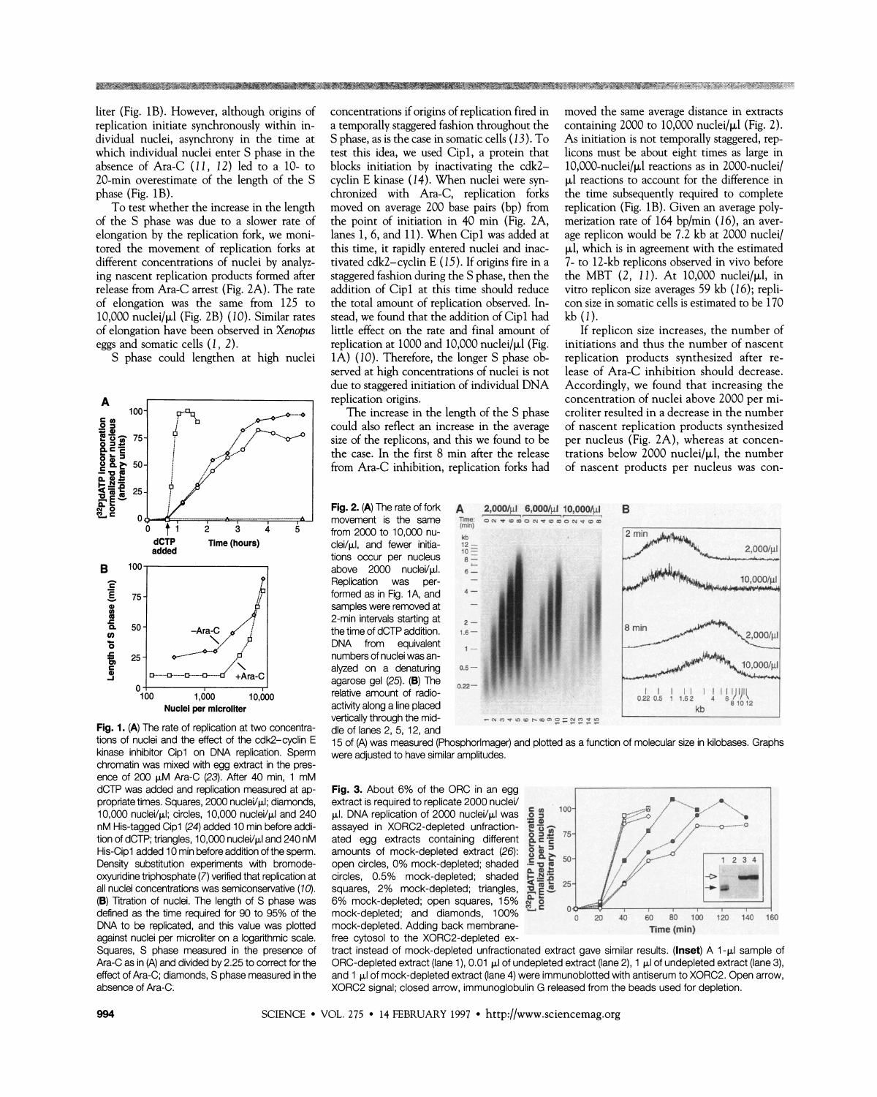liter (Fig. 1B). However, although origins of replication initiate synchronously within individual nuclei, asynchrony in the time at which individual nuclei enter S phase in the absence of Ara-C  $(11, 12)$  led to a 10- to 20-min overestimate of the length of the S phase (Fig. 1B).

To test whether the increase in the length of the S phase was due to a slower rate of elongation by the replication fork, we monitored the movement of replication forks at different concentrations of nuclei by analyzing nascent replication products formed after release from Ara-C arrest (Fig. 2A). The rate of elongation was the same from 125 to 10,000 nuclei/yl (Fig. 2B) (10). Similar rates of elongation have been observed in *Xmpus*  eggs and somatic cells (1, 2).

S phase could lengthen at high nuclei



tions of nuclei and the effect of the cdk2-cyclin E kinase inhibitor Cipl on DNA replication. Sperm chromatin was mixed with egg extract in the presence of 200 µM Ara-C (23). After 40 min, 1 mM dCTP was added and replication measured at **ap**propriate times. Squares, 2000 nuclei/µl; diamonds, 10,000 nuclei/ $\mu$ I; circles, 10,000 nuclei/ $\mu$ I and 240 nM His-tagged Cipl (24) added 10 min before addition of dCTP; triangles, 10,000 nuclei/ $\mu$ I and 240 nM His-Cipl added 10 min before addition of the sperm. Density substitution experiments with bromodeoxyuridine triphosphate (7) verified that replication at all nuclei concentrations was semiconservative (10). (B) Titration of nuclei. The length of S phase was defined as the time required for 90 to 95% of the DNA to be replicated, and this value was plotted against nuclei per microliter on a logarithmic scale. Squares, S phase measured in the presence of Ara-C as in  $(A)$  and divided by 2.25 to correct for the effect of Ara-C; diamonds, S phase measured in the absence of Ara-C:

concentrations if origins of replication fired in a temporally staggered fashion throughout the S phase, as is the case in somatic cells (13). To test this idea, we used Cip1, a protein that blocks initiation by inactivating the cdk2 cyclin E kinase (14). When nuclei were synchronized with Ara-C, replication forks moved on average 200 base pairs (bp) from the point of initiation in 40 min (Fig. 2A, lanes 1,6, and 11). When Cipl was added at this time, it rapidly entered nuclei and inactivated cdk2-cyclin E  $(15)$ . If origins fire in a staggered fashion during the S phase, then the addition of Cip1 at this time should reduce the total amount of replication observed. Instead, we found that the addition of Cip1 had little effect on the rate and final amount of replication at 1000 and 10,000 nuclei/ $\mu$ l (Fig. 1A) (10). Therefore, the longer S phase observed at high concentrations of nuclei is not due to staggered initiation of individual DNA replication origins.

的。""我们的人们,我们的人们也不能在这里,我们的人们的人们,我们也不能在这里,我们也不能在这里,我们也不能会在这里,我们也不能会在这里,我们的人们的人们,我们也

The increase in the length of the S phase could also reflect an increase in the average size of the replicons, and this we found to be the case. In the first 8 min after the release from Ara-C inhibition, replication forks had

from 2000 to 10,000 nu-<br>clei/ $\mu$ l, and fewer initia $c$ lei/ $\mu$ l, and fewer initia-<br>tions occur per nucleus above 2000 nuclei/µl. Replication was per-Formed as in Fig. 1A, and  $4 - 4$ formed as in Fig. 1A, and  $4 - 4$ <br>samples were removed at  $$ samples were removed at<br>
2-min intervals starting at<br>
the time of dCTP addition. the time of dCTP addition. DNA from equivalent  $_{1-}$ numbers of nuclei was analyzed on a denaturing 0.5 agarose gel (25). (B) The relative amount of radioactivity along a line placed dle of lanes 2, 5, 12, and

moved the same average distance in extracts containing 2000 to 10,000 nuclei/ $\mu$ l (Fig. 2). As initiation is not temporally staggered, replicons must be about eight times as large in 10,000-nuclei/ $\mu$ l reactions as in 2000-nuclei/ µl reactions to account for the difference in the time subsequently required to complete replication (Fig. 1B). Given an average polymerization rate of 164 bp/min (16), an average replicon would be 7.2 kb at 2000 nuclei/  $\mu$ l, which is in agreement with the estimated 7- to 12-kb replicons observed in vivo before the MBT  $(2, 11)$ . At 10,000 nuclei/ $\mu$ l, in vitro replicon size averages 59 kb (16); replicon size in somatic cells is estimated to be 170 kb (I).

If replicon size increases, the number of initiations and thus the number of nascent replication products synthesized after release of Ara-C inhibition should decrease. Accordingly, we found that increasing the concentration of nuclei above 2000 per microliter resulted in a decrease in the number of nascent replication products synthesized per nucleus (Fig. 2A), whereas at concentrations below 2000 nuclei/ $\mu$ l, the number of nascent products per nucleus was con-



15 of (A) was measured (Phosphorlmager) and plotted as a function of molecular size in kilobases. Graphs were adjusted to have similar amplitudes.

**Fig. 3.** About 6% of the ORC in an egg extract is required to replicate 2000 nuclei/ pl. DNA replication of 2000 nuclei/μl was<br>assayed in XORC2-depleted unfraction-<br>ated egg extracts containing different **a** assayed in XORC2-depleted unfraction-<br>ated egg extracts containing different and<br>amounts of mock-depleted extract (26):<br>open circles, 0% mock-depleted; shaded are<br>circles, 0.5% mock-depleted; shaded areas<br>squares, 2% mockated egg extracts containing different 8 **2 75**  amounts of mock-depleted extract (26): open circles, 0% mock-depleted; shaded .E<br>circles, 0.5% mock-depleted; shaded E<br>squares, 2% mock-depleted; triangles, p circles, 0.5% mock-depleted; shaded squares, 2% mock-depleted; triangles, **5: J <sup>25</sup>** 6% mock-depleted; open squares, 15% & mock-depleted; and diamonds,  $100\%$ <sup>2</sup> mock-depleted; and diamonds, 100%<br>
mock-depleted. Adding back membrane-<br>
free cytosol to the XORC2-depleted ex-<br> **Time (min)** 



tract instead of mock-depleted unfractionated extract gave similar results. (Inset) A 1-µI sample of ORC-depleted extract (lane 1), 0.01  $\mu$  of undepleted extract (lane 2), 1  $\mu$  of undepleted extract (lane 3), and 1  $\mu$ I of mock-depleted extract (lane 4) were immunoblotted with antiserum to XORC2. Open arrow, XORC2 signal; closed arrow, immunoglobulin G released from the beads used for depletion.